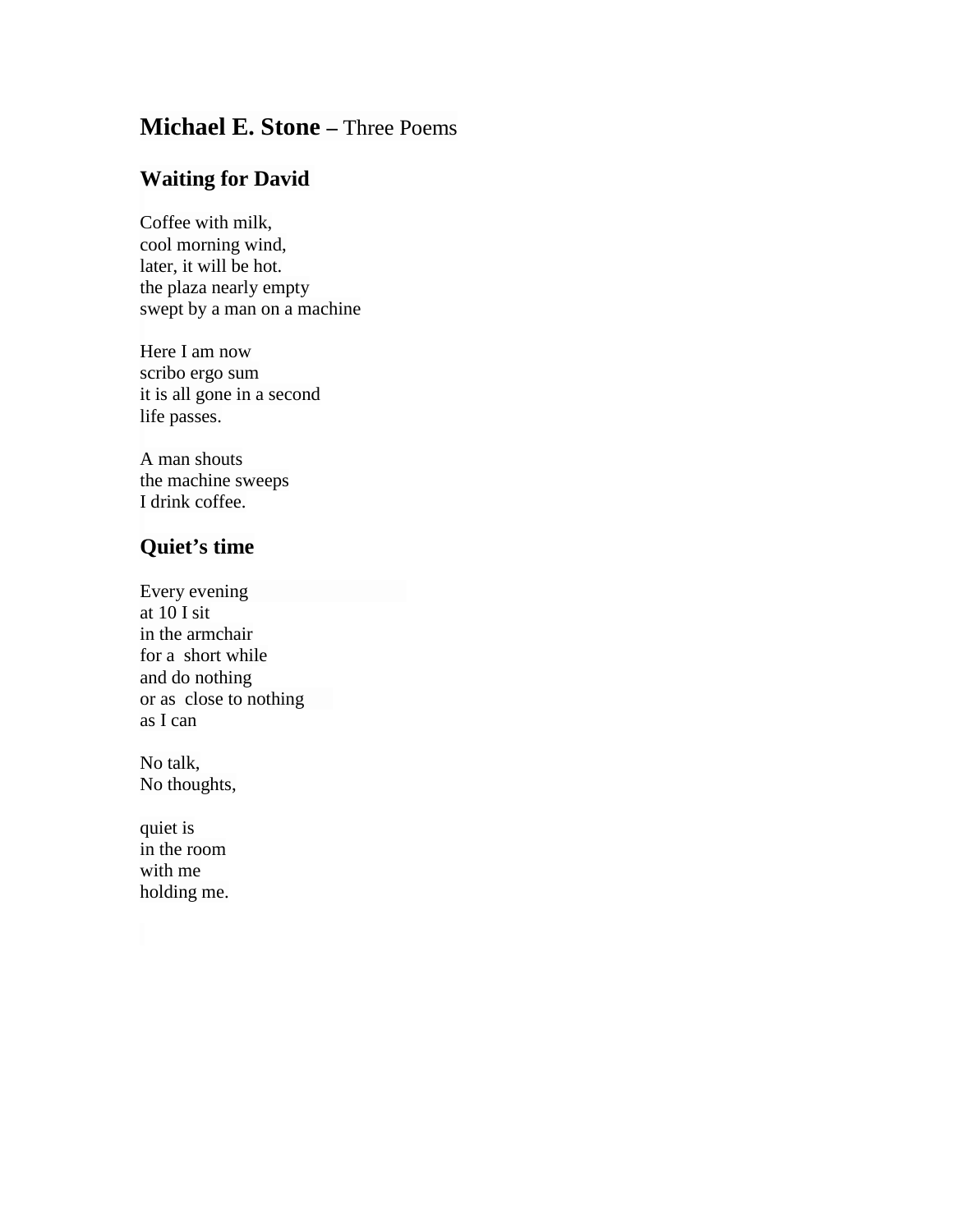## **Michael E. Stone –** Three Poems

## **Waiting for David**

Coffee with milk, cool morning wind, later, it will be hot. the plaza nearly empty swept by a man on a machine

Here I am now scribo ergo sum it is all gone in a second life passes.

A man shouts the machine sweeps I drink coffee.

## **Quiet's time**

Every evening at 10 I sit in the armchair for a short while and do nothing or as close to nothing as I can

No talk, No thoughts,

quiet is in the room with me holding me.